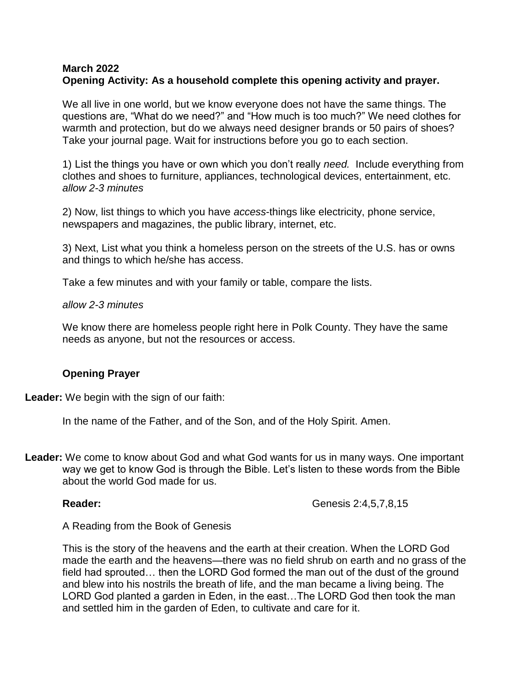### **March 2022 Opening Activity: As a household complete this opening activity and prayer.**

We all live in one world, but we know everyone does not have the same things. The questions are, "What do we need?" and "How much is too much?" We need clothes for warmth and protection, but do we always need designer brands or 50 pairs of shoes? Take your journal page. Wait for instructions before you go to each section.

1) List the things you have or own which you don't really *need.* Include everything from clothes and shoes to furniture, appliances, technological devices, entertainment, etc. *allow 2-3 minutes*

2) Now, list things to which you have *access*-things like electricity, phone service, newspapers and magazines, the public library, internet, etc.

3) Next, List what you think a homeless person on the streets of the U.S. has or owns and things to which he/she has access.

Take a few minutes and with your family or table, compare the lists.

*allow 2-3 minutes*

We know there are homeless people right here in Polk County. They have the same needs as anyone, but not the resources or access.

# **Opening Prayer**

**Leader:** We begin with the sign of our faith:

In the name of the Father, and of the Son, and of the Holy Spirit. Amen.

**Leader:** We come to know about God and what God wants for us in many ways. One important way we get to know God is through the Bible. Let's listen to these words from the Bible about the world God made for us.

**Reader: Genesis 2:4,5,7,8,15** 

A Reading from the Book of Genesis

This is the story of the heavens and the earth at their creation. When the LORD God made the earth and the heavens—there was no field shrub on earth and no grass of the field had sprouted… then the LORD God formed the man out of the dust of the ground and blew into his nostrils the breath of life, and the man became a living being. The LORD God planted a garden in Eden, in the east…The LORD God then took the man and settled him in the garden of Eden, to cultivate and care for it.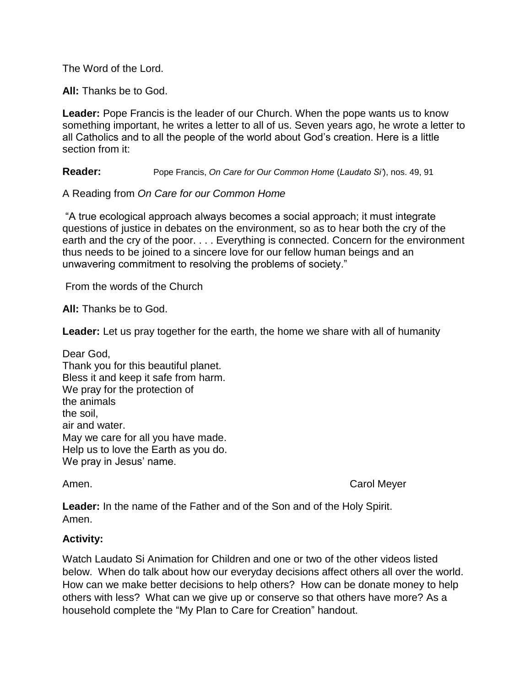The Word of the Lord.

**All:** Thanks be to God.

**Leader:** Pope Francis is the leader of our Church. When the pope wants us to know something important, he writes a letter to all of us. Seven years ago, he wrote a letter to all Catholics and to all the people of the world about God's creation. Here is a little section from it:

**Reader:** Pope Francis, *On Care for Our Common Home* (*Laudato Si'*), nos. 49, 91

A Reading from *On Care for our Common Home*

"A true ecological approach always becomes a social approach; it must integrate questions of justice in debates on the environment, so as to hear both the cry of the earth and the cry of the poor. . . . Everything is connected. Concern for the environment thus needs to be joined to a sincere love for our fellow human beings and an unwavering commitment to resolving the problems of society."

From the words of the Church

**All:** Thanks be to God.

**Leader:** Let us pray together for the earth, the home we share with all of humanity

Dear God, Thank you for this beautiful planet. Bless it and keep it safe from harm. We pray for the protection of the animals the soil, air and water. May we care for all you have made. Help us to love the Earth as you do. We pray in Jesus' name.

Amen. Carol Meyer

**Leader:** In the name of the Father and of the Son and of the Holy Spirit. Amen.

## **Activity:**

Watch Laudato Si Animation for Children and one or two of the other videos listed below. When do talk about how our everyday decisions affect others all over the world. How can we make better decisions to help others? How can be donate money to help others with less? What can we give up or conserve so that others have more? As a household complete the "My Plan to Care for Creation" handout.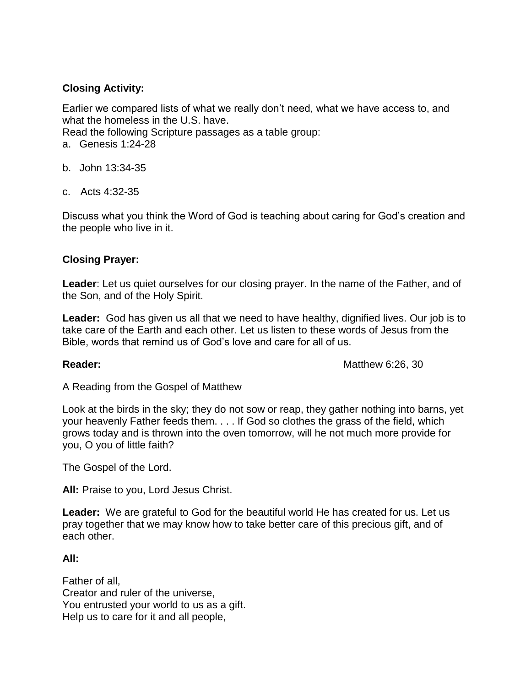# **Closing Activity:**

Earlier we compared lists of what we really don't need, what we have access to, and what the homeless in the U.S. have.

Read the following Scripture passages as a table group:

- a. Genesis 1:24-28
- b. John 13:34-35
- c. Acts 4:32-35

Discuss what you think the Word of God is teaching about caring for God's creation and the people who live in it.

# **Closing Prayer:**

**Leader**: Let us quiet ourselves for our closing prayer. In the name of the Father, and of the Son, and of the Holy Spirit.

**Leader:** God has given us all that we need to have healthy, dignified lives. Our job is to take care of the Earth and each other. Let us listen to these words of Jesus from the Bible, words that remind us of God's love and care for all of us.

**Reader:** Matthew 6:26, 30

A Reading from the Gospel of Matthew

Look at the birds in the sky; they do not sow or reap, they gather nothing into barns, yet your heavenly Father feeds them. . . . If God so clothes the grass of the field, which grows today and is thrown into the oven tomorrow, will he not much more provide for you, O you of little faith?

The Gospel of the Lord.

**All:** Praise to you, Lord Jesus Christ.

**Leader:** We are grateful to God for the beautiful world He has created for us. Let us pray together that we may know how to take better care of this precious gift, and of each other.

## **All:**

Father of all, Creator and ruler of the universe, You entrusted your world to us as a gift. Help us to care for it and all people,